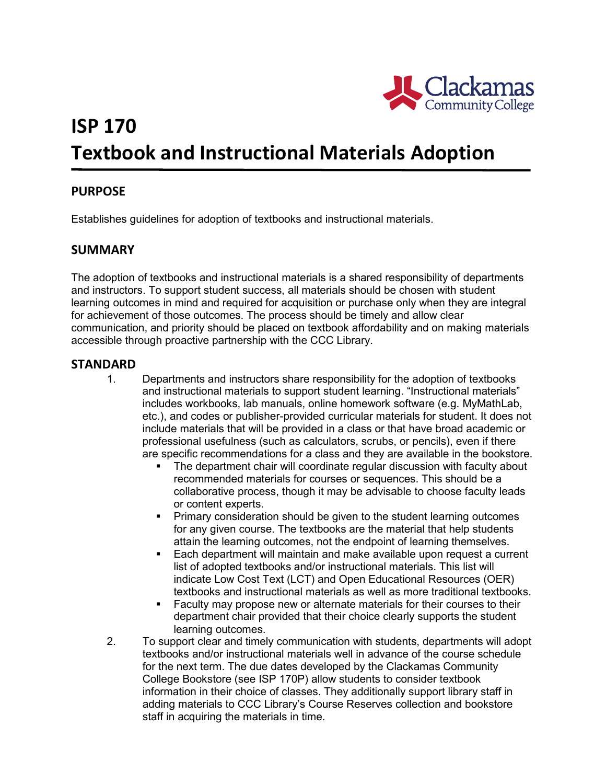

# **ISP 170 Textbook and Instructional Materials Adoption**

### **PURPOSE**

Establishes guidelines for adoption of textbooks and instructional materials.

#### **SUMMARY**

The adoption of textbooks and instructional materials is a shared responsibility of departments and instructors. To support student success, all materials should be chosen with student learning outcomes in mind and required for acquisition or purchase only when they are integral for achievement of those outcomes. The process should be timely and allow clear communication, and priority should be placed on textbook affordability and on making materials accessible through proactive partnership with the CCC Library.

#### **STANDARD**

- etc.), and codes or publisher-provided curricular materials for student. It does not 1. Departments and instructors share responsibility for the adoption of textbooks and instructional materials to support student learning. "Instructional materials" includes workbooks, lab manuals, online homework software (e.g. MyMathLab, include materials that will be provided in a class or that have broad academic or professional usefulness (such as calculators, scrubs, or pencils), even if there are specific recommendations for a class and they are available in the bookstore.
	- The department chair will coordinate regular discussion with faculty about recommended materials for courses or sequences. This should be a collaborative process, though it may be advisable to choose faculty leads or content experts.
	- **Primary consideration should be given to the student learning outcomes** for any given course. The textbooks are the material that help students attain the learning outcomes, not the endpoint of learning themselves.
	- indicate Low Cost Text (LCT) and Open Educational Resources (OER) textbooks and instructional materials as well as more traditional textbooks. Each department will maintain and make available upon request a current list of adopted textbooks and/or instructional materials. This list will
	- **Faculty may propose new or alternate materials for their courses to their**  department chair provided that their choice clearly supports the student learning outcomes.
- adding materials to CCC Library's Course Reserves collection and bookstore 2. To support clear and timely communication with students, departments will adopt textbooks and/or instructional materials well in advance of the course schedule for the next term. The due dates developed by the Clackamas Community College Bookstore (see ISP 170P) allow students to consider textbook information in their choice of classes. They additionally support library staff in staff in acquiring the materials in time.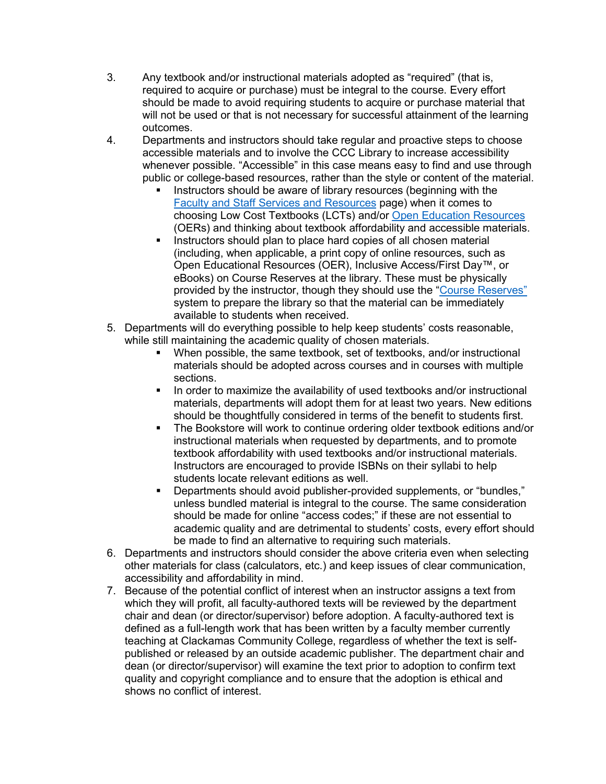- 3. Any textbook and/or instructional materials adopted as "required" (that is, should be made to avoid requiring students to acquire or purchase material that required to acquire or purchase) must be integral to the course. Every effort will not be used or that is not necessary for successful attainment of the learning outcomes.
- whenever possible. "Accessible" in this case means easy to find and use through public or college-based resources, rather than the style or content of the material. 4. Departments and instructors should take regular and proactive steps to choose accessible materials and to involve the CCC Library to increase accessibility
	- **Instructors should be aware of library resources (beginning with the**  (OERs) and thinking about textbook affordability and accessible materials. [Faculty and Staff Services and Resources](https://libguides.clackamas.edu/facultyandstaffresources) page) when it comes to choosing Low Cost Textbooks (LCTs) and/or [Open Education Resources](https://libguides.clackamas.edu/oer)
	- eBooks) on Course Reserves at the library. These must be physically **Instructors should plan to place hard copies of all chosen material** (including, when applicable, a print copy of online resources, such as Open Educational Resources (OER), Inclusive Access/First Day™, or provided by the instructor, though they should use the "Course Reserves" system to prepare the library so that the material can be immediately available to students when received.
- 5. Departments will do everything possible to help keep students' costs reasonable, while still maintaining the academic quality of chosen materials.
	- When possible, the same textbook, set of textbooks, and/or instructional materials should be adopted across courses and in courses with multiple sections.
	- materials, departments will adopt them for at least two years. New editions should be thoughtfully considered in terms of the benefit to students first. In order to maximize the availability of used textbooks and/or instructional
	- The Bookstore will work to continue ordering older textbook editions and/or instructional materials when requested by departments, and to promote textbook affordability with used textbooks and/or instructional materials. Instructors are encouraged to provide ISBNs on their syllabi to help students locate relevant editions as well.
	- Departments should avoid publisher-provided supplements, or "bundles," be made to find an alternative to requiring such materials. unless bundled material is integral to the course. The same consideration should be made for online "access codes;" if these are not essential to academic quality and are detrimental to students' costs, every effort should
- other materials for class (calculators, etc.) and keep issues of clear communication, 6. Departments and instructors should consider the above criteria even when selecting accessibility and affordability in mind.
- 7. Because of the potential conflict of interest when an instructor assigns a text from chair and dean (or director/supervisor) before adoption. A faculty-authored text is teaching at Clackamas Community College, regardless of whether the text is selfwhich they will profit, all faculty-authored texts will be reviewed by the department defined as a full-length work that has been written by a faculty member currently published or released by an outside academic publisher. The department chair and dean (or director/supervisor) will examine the text prior to adoption to confirm text quality and copyright compliance and to ensure that the adoption is ethical and shows no conflict of interest.